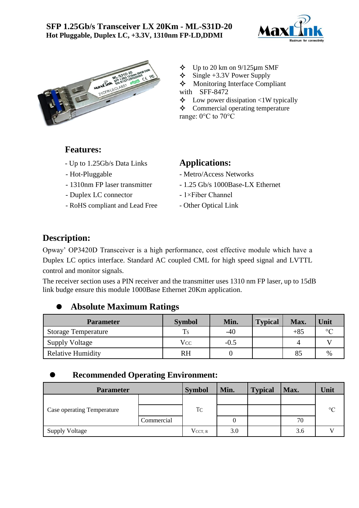



- $\div$  Up to 20 km on 9/125  $\mu$ m SMF
- $\div$  Single +3.3V Power Supply
- Monitoring Interface Compliant

 $\triangle$  Low power dissipation <1W typically

 $\triangle$  Commercial operating temperature

range: 0°C to 70°C

### **Features:**

- Up to 1.25Gb/s Data Links **Applications:**
- 
- 
- 
- Duplex LC connector 1×Fiber Channel<br>- RoHS compliant and Lead Free Other Optical Link - RoHS compliant and Lead Free

- Hot-Pluggable Metro/Access Networks<br>- 1310nm FP laser transmitter 1.25 Gb/s 1000Base-LX
	- 1.25 Gb/s 1000Base-LX Ethernet<br>- 1×Fiber Channel
	-
	-

# **Description:**

Opway' OP3420D Transceiver is a high performance, cost effective module which have a Duplex LC optics interface. Standard AC coupled CML for high speed signal and LVTTL control and monitor signals.

The receiver section uses a PIN receiver and the transmitter uses 1310 nm FP laser, up to 15dB link budge ensure this module 1000Base Ethernet 20Km application.

### ⚫ **Absolute Maximum Ratings**

| <b>Parameter</b>           | <b>Symbol</b> | Min.   | <b>Typical</b> | Max.  | Unit    |
|----------------------------|---------------|--------|----------------|-------|---------|
| <b>Storage Temperature</b> | <b>Ts</b>     | $-40$  |                | $+85$ | $\circ$ |
| Supply Voltage             | Vcc           | $-0.5$ |                |       |         |
| <b>Relative Humidity</b>   | <b>RH</b>     |        |                | 85    | $\%$    |

### ⚫ **Recommended Operating Environment:**

| <b>Parameter</b>                  |            | <b>Symbol</b>  | Min. | <b>Typical</b> | Max. | Unit            |
|-----------------------------------|------------|----------------|------|----------------|------|-----------------|
|                                   |            |                |      |                |      |                 |
| <b>Case operating Temperature</b> |            | T <sub>C</sub> |      |                |      | $\rm ^{\circ}C$ |
|                                   | Commercial |                |      |                | 70   |                 |
| <b>Supply Voltage</b>             |            | $V_{CCT, R}$   | 3.0  |                | 3.6  |                 |

with SFF-8472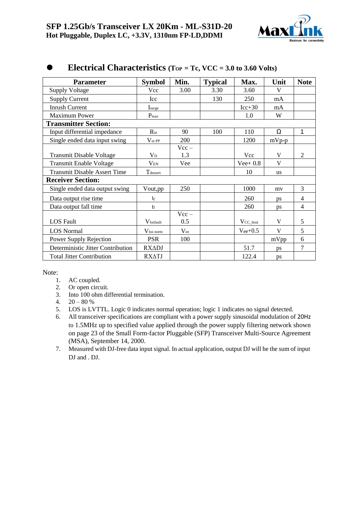

| <b>Parameter</b>                    | <b>Symbol</b>                 | Min.     | <b>Typical</b> | Max.           | Unit      | <b>Note</b>    |
|-------------------------------------|-------------------------------|----------|----------------|----------------|-----------|----------------|
| <b>Supply Voltage</b>               | Vcc                           | 3.00     | 3.30           | 3.60           | V         |                |
| <b>Supply Current</b>               | Icc                           |          | 130            | 250            | mA        |                |
| <b>Inrush Current</b>               | Isurge                        |          |                | $Icc+30$       | mA        |                |
| <b>Maximum Power</b>                | $P_{max}$                     |          |                | 1.0            | W         |                |
| <b>Transmitter Section:</b>         |                               |          |                |                |           |                |
| Input differential impedance        | $R_{in}$                      | 90       | 100            | 110            | Ω         | 1              |
| Single ended data input swing       | $\mathrm{V}_{\ln\mathrm{PP}}$ | 200      |                | 1200           | $mVp-p$   |                |
|                                     |                               | $Vcc -$  |                |                |           |                |
| <b>Transmit Disable Voltage</b>     | $V_D$                         | 1.3      |                | Vcc            | V         | $\overline{2}$ |
| <b>Transmit Enable Voltage</b>      | $V_{EN}$                      | Vee      |                | $Vee+0.8$      | V         |                |
| <b>Transmit Disable Assert Time</b> | Tdessert                      |          |                | 10             | <b>us</b> |                |
| <b>Receiver Section:</b>            |                               |          |                |                |           |                |
| Single ended data output swing      | Vout,pp                       | 250      |                | 1000           | my        | 3              |
| Data output rise time               | $t_{r}$                       |          |                | 260            | ps        | $\overline{4}$ |
| Data output fall time               | $\mathop{\mathrm{tr}}$        |          |                | 260            | ps        | $\overline{4}$ |
|                                     |                               | $Vcc -$  |                |                |           |                |
| <b>LOS</b> Fault                    | <b>V</b> losfault             | 0.5      |                | $V_{CC\_host}$ | V         | 5              |
| <b>LOS</b> Normal                   | $V_{\text{los norm}}$         | $V_{ee}$ |                | $V_{ee}$ +0.5  | V         | 5              |
| Power Supply Rejection              | <b>PSR</b>                    | 100      |                |                | mVpp      | 6              |
| Deterministic Jitter Contribution   | <b>RXADJ</b>                  |          |                | 51.7           | ps        | 7              |
| <b>Total Jitter Contribution</b>    | <b>RX∆TJ</b>                  |          |                | 122.4          | ps        |                |

## ⚫ **Electrical Characteristics (TOP = Tc, VCC = 3.0 to 3.60 Volts)**

Note:

- 1. AC coupled.
- 2. Or open circuit.
- 3. Into 100 ohm differential termination.
- 4.  $20 80 \%$
- 5. LOS is LVTTL. Logic 0 indicates normal operation; logic 1 indicates no signal detected.
- 6. All transceiver specifications are compliant with a power supply sinusoidal modulation of 20Hz to 1.5MHz up to specified value applied through the power supply filtering network shown on page 23 of the Small Form-factor Pluggable (SFP) Transceiver Multi-Source Agreement (MSA), September 14, 2000.
- 7. Measured with DJ-free data input signal. In actual application, output DJ will be the sum of input DJ and . DJ.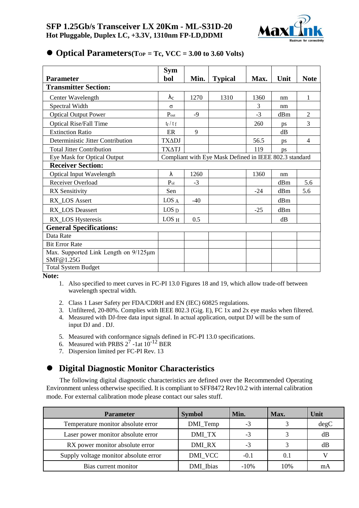

|                                                    | Sym                                                    |       |                |       |             |                |
|----------------------------------------------------|--------------------------------------------------------|-------|----------------|-------|-------------|----------------|
| <b>Parameter</b>                                   | bol                                                    | Min.  | <b>Typical</b> | Max.  | Unit        | <b>Note</b>    |
| <b>Transmitter Section:</b>                        |                                                        |       |                |       |             |                |
| Center Wavelength                                  | $\lambda_c$                                            | 1270  | 1310           | 1360  | nm          | 1              |
| Spectral Width                                     | σ                                                      |       |                | 3     | nm          |                |
| <b>Optical Output Power</b>                        | $P_{\text{out}}$                                       | $-9$  |                | $-3$  | dBm         | $\overline{2}$ |
| <b>Optical Rise/Fall Time</b>                      | $t_r / t_f$                                            |       |                | 260   | ps          | 3              |
| <b>Extinction Ratio</b>                            | ER                                                     | 9     |                |       | $\rm dB$    |                |
| Deterministic Jitter Contribution                  | <b>TXADJ</b>                                           |       |                | 56.5  | <b>DS</b>   | $\overline{4}$ |
| <b>Total Jitter Contribution</b>                   | <b>TXATJ</b>                                           |       |                | 119   | ps          |                |
| Eye Mask for Optical Output                        | Compliant with Eye Mask Defined in IEEE 802.3 standard |       |                |       |             |                |
| <b>Receiver Section:</b>                           |                                                        |       |                |       |             |                |
| <b>Optical Input Wavelength</b>                    | λ                                                      | 1260  |                | 1360  | nm          |                |
| Receiver Overload                                  | $P_{ol}$                                               | $-3$  |                |       | dBm         | 5.6            |
| <b>RX</b> Sensitivity                              | Sen                                                    |       |                | $-24$ | dBm         | 5.6            |
| RX_LOS Assert                                      | LOS A                                                  | $-40$ |                |       | dBm         |                |
| RX_LOS Deassert                                    | LOS <sub>D</sub>                                       |       |                | $-25$ | dBm         |                |
| RX_LOS Hysteresis                                  | LOS H                                                  | 0.5   |                |       | $\text{dB}$ |                |
| <b>General Specifications:</b>                     |                                                        |       |                |       |             |                |
| Data Rate                                          |                                                        |       |                |       |             |                |
| <b>Bit Error Rate</b>                              |                                                        |       |                |       |             |                |
| Max. Supported Link Length on 9/125µm<br>SMF@1.25G |                                                        |       |                |       |             |                |
| <b>Total System Budget</b>                         |                                                        |       |                |       |             |                |

#### ⚫ **Optical Parameters(TOP = Tc, VCC = 3.00 to 3.60 Volts)**

**Note:** 

- 1. Also specified to meet curves in FC-PI 13.0 Figures 18 and 19, which allow trade-off between wavelength spectral width.
- 2. Class 1 Laser Safety per FDA/CDRH and EN (IEC) 60825 regulations.
- 3. Unfiltered, 20-80%. Complies with IEEE 802.3 (Gig. E), FC 1x and 2x eye masks when filtered.
- 4. Measured with DJ-free data input signal. In actual application, output DJ will be the sum of input DJ and . DJ.
- 5. Measured with conformance signals defined in FC-PI 13.0 specifications.
- 6. Measured with PRBS  $2^7$  -1at  $10^{-12}$  BER
- 7. Dispersion limited per FC-PI Rev. 13

### ⚫ **Digital Diagnostic Monitor Characteristics**

The following digital diagnostic characteristics are defined over the Recommended Operating Environment unless otherwise specified. It is compliant to SFF8472 Rev10.2 with internal calibration mode. For external calibration mode please contact our sales stuff.

| <b>Parameter</b>                      | <b>Symbol</b> | Min.   | Max. | Unit |
|---------------------------------------|---------------|--------|------|------|
| Temperature monitor absolute error    | DMI_Temp      | $-3$   |      | degC |
| Laser power monitor absolute error    | DMI_TX        | $-3$   |      | dB   |
| RX power monitor absolute error       | DMI RX        | $-3$   |      | dB   |
| Supply voltage monitor absolute error | DMI_VCC       | $-0.1$ | 0.1  |      |
| Bias current monitor                  | DMI_Ibias     | $-10%$ | 10%  | mA   |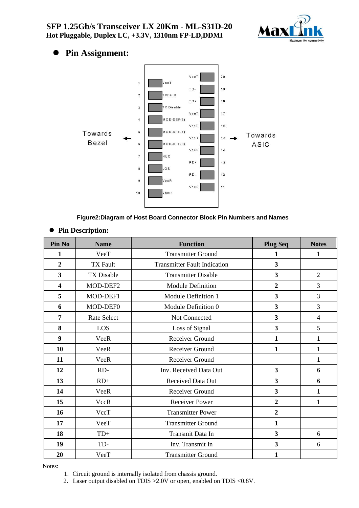

# ⚫ **Pin Assignment:**



#### **Figure2:Diagram of Host Board Connector Block Pin Numbers and Names**

- **Pin No Name Function Plug Seq Notes 1 VeeT 1 1 1 1 1 1 1**  TX Fault Transmitter Fault Indication **3** TX Disable Transmitter Disable **3** 2 MOD-DEF2 Module Definition **2** 3 MOD-DEF1 Module Definition 1 **3** 3 MOD-DEF0 Module Definition 0 **3** 3 Rate Select Not Connected **3 4** LOS Loss of Signal **3** 5 VeeR Receiver Ground 1 1 1 10 VeeR Receiver Ground 1 1 1 VeeR Receiver Ground 1 RD- Inv. Received Data Out **3 6** RD+ Received Data Out **3 6** VeeR Receiver Ground **3 1** VccR Receiver Power **2 1** VccT Transmitter Power 2 VeeT Transmitter Ground 1 TD+ Transmit Data In **3** 6 **19 ID- ID- INV. Transmit In <b>3** 6 VeeT Transmitter Ground 1
- ⚫ **Pin Description:**

Notes:

1. Circuit ground is internally isolated from chassis ground.

2. Laser output disabled on TDIS >2.0V or open, enabled on TDIS <0.8V.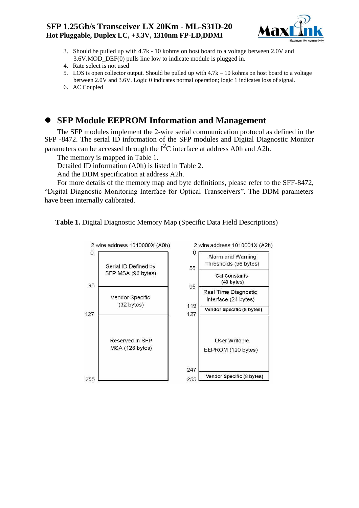#### **SFP 1.25Gb/s Transceiver LX 20Km - ML-S31D-20 Hot Pluggable, Duplex LC, +3.3V, 1310nm FP-LD,DDMI**



- 3. Should be pulled up with 4.7k 10 kohms on host board to a voltage between 2.0V and 3.6V.MOD\_DEF(0) pulls line low to indicate module is plugged in.
- 4. Rate select is not used
- 5. LOS is open collector output. Should be pulled up with 4.7k 10 kohms on host board to a voltage between 2.0V and 3.6V. Logic 0 indicates normal operation; logic 1 indicates loss of signal.
- 6. AC Coupled

# ⚫ **SFP Module EEPROM Information and Management**

The SFP modules implement the 2-wire serial communication protocol as defined in the SFP -8472. The serial ID information of the SFP modules and Digital Diagnostic Monitor parameters can be accessed through the  $I<sup>2</sup>C$  interface at address A0h and A2h.

The memory is mapped in Table 1.

Detailed ID information (A0h) is listed in Table 2.

And the DDM specification at address A2h.

For more details of the memory map and byte definitions, please refer to the SFF-8472, "Digital Diagnostic Monitoring Interface for Optical Transceivers". The DDM parameters have been internally calibrated.

**Table 1.** Digital Diagnostic Memory Map (Specific Data Field Descriptions)

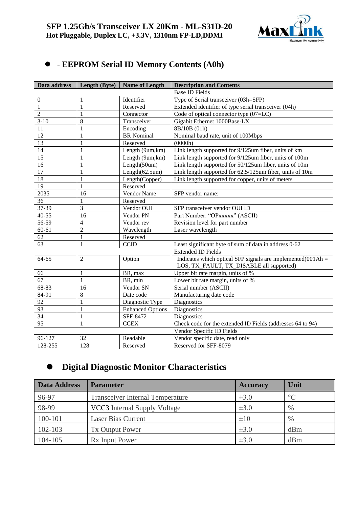

# ⚫ **- EEPROM Serial ID Memory Contents (A0h)**

| Data address    | Length (Byte)  | <b>Name of Length</b>   | <b>Description and Contents</b>                                                                                    |  |
|-----------------|----------------|-------------------------|--------------------------------------------------------------------------------------------------------------------|--|
|                 |                |                         | <b>Base ID Fields</b>                                                                                              |  |
| $\mathbf{0}$    |                | Identifier              | Type of Serial transceiver (03h=SFP)                                                                               |  |
| 1               | 1              | Reserved                | Extended identifier of type serial transceiver (04h)                                                               |  |
| $\overline{2}$  | 1              | Connector               | Code of optical connector type (07=LC)                                                                             |  |
| $3 - 10$        | 8              | Transceiver             | Gigabit Ethernet 1000Base-LX                                                                                       |  |
| 11              | 1              | Encoding                | 8B/10B (01h)                                                                                                       |  |
| $\overline{12}$ | 1              | <b>BR</b> Nominal       | Nominal baud rate, unit of 100Mbps                                                                                 |  |
| 13              | 1              | Reserved                | (0000h)                                                                                                            |  |
| $\overline{14}$ | 1              | Length (9um,km)         | Link length supported for 9/125um fiber, units of km                                                               |  |
| $\overline{15}$ | 1              | Length (9um,km)         | Link length supported for 9/125um fiber, units of 100m                                                             |  |
| 16              | 1              | Length(50um)            | Link length supported for 50/125um fiber, units of 10m                                                             |  |
| $\overline{17}$ | 1              | Length $(62.5um)$       | Link length supported for 62.5/125um fiber, units of 10m                                                           |  |
| 18              | 1              | Length(Copper)          | Link length supported for copper, units of meters                                                                  |  |
| $\overline{19}$ | $\mathbf{1}$   | Reserved                |                                                                                                                    |  |
| 2035            | 16             | Vendor Name             | SFP vendor name:                                                                                                   |  |
| 36              | 1              | Reserved                |                                                                                                                    |  |
| 37-39           | 3              | Vendor OUI              | SFP transceiver vendor OUI ID                                                                                      |  |
| $40 - 55$       | 16             | Vendor PN               | Part Number: "OPxxxxx" (ASCII)                                                                                     |  |
| 56-59           | $\overline{4}$ | Vendor rev              | Revision level for part number                                                                                     |  |
| $60 - 61$       | $\overline{2}$ | Wavelength              | Laser wavelength                                                                                                   |  |
| 62              | 1              | Reserved                |                                                                                                                    |  |
| 63              | $\mathbf{1}$   | <b>CCID</b>             | Least significant byte of sum of data in address 0-62                                                              |  |
|                 |                |                         | <b>Extended ID Fields</b>                                                                                          |  |
| $64 - 65$       | $\overline{2}$ | Option                  | Indicates which optical SFP signals are implemented $(001 \text{Ah} =$<br>LOS, TX_FAULT, TX_DISABLE all supported) |  |
| 66              | 1              | BR, max                 | Upper bit rate margin, units of %                                                                                  |  |
| 67              | 1              | BR, min                 | Lower bit rate margin, units of %                                                                                  |  |
| 68-83           | 16             | Vendor SN               | Serial number (ASCII)                                                                                              |  |
| 84-91           | 8              | Date code               | Manufacturing date code                                                                                            |  |
| 92              | 1              | Diagnostic Type         | <b>Diagnostics</b>                                                                                                 |  |
| 93              | $\mathbf{1}$   | <b>Enhanced Options</b> | Diagnostics                                                                                                        |  |
| $\overline{34}$ | 1              | SFF-8472                | <b>Diagnostics</b>                                                                                                 |  |
| $\overline{95}$ | 1              | <b>CCEX</b>             | Check code for the extended ID Fields (addresses 64 to 94)                                                         |  |
|                 |                |                         | Vendor Specific ID Fields                                                                                          |  |
| 96-127          | 32             | Readable                | Vendor specific date, read only                                                                                    |  |
| 128-255         | 128            | Reserved                | Reserved for SFF-8079                                                                                              |  |

# ⚫ **Digital Diagnostic Monitor Characteristics**

| <b>Data Address</b> | <b>Parameter</b>                        | <b>Accuracy</b> | <b>Unit</b>     |
|---------------------|-----------------------------------------|-----------------|-----------------|
| 96-97               | <b>Transceiver Internal Temperature</b> | $\pm 3.0$       | $\rm ^{\circ}C$ |
| 98-99               | VCC3 Internal Supply Voltage            | $\pm 3.0$       | $\%$            |
| 100-101             | <b>Laser Bias Current</b>               | $\pm 10$        | $\%$            |
| 102-103             | <b>Tx Output Power</b>                  | $\pm 3.0$       | dBm             |
| 104-105             | R <sub>x</sub> Input Power              | $\pm 3.0$       | dBm             |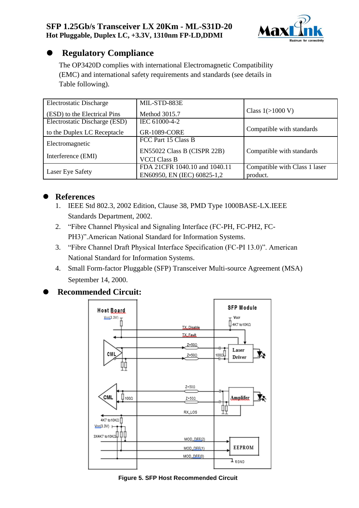

# ⚫ **Regulatory Compliance**

The OP3420D complies with international Electromagnetic Compatibility (EMC) and international safety requirements and standards (see details in Table following).

| <b>Electrostatic Discharge</b> | MIL-STD-883E                  |                               |
|--------------------------------|-------------------------------|-------------------------------|
| (ESD) to the Electrical Pins   | Method 3015.7                 | Class $1(>1000 V)$            |
| Electrostatic Discharge (ESD)  | IEC 61000-4-2                 |                               |
| to the Duplex LC Receptacle    | <b>GR-1089-CORE</b>           | Compatible with standards     |
| Electromagnetic                | FCC Part 15 Class B           |                               |
|                                | EN55022 Class B (CISPR 22B)   | Compatible with standards     |
| Interference (EMI)             | <b>VCCI Class B</b>           |                               |
|                                | FDA 21CFR 1040.10 and 1040.11 | Compatible with Class 1 laser |
| Laser Eye Safety               | EN60950, EN (IEC) 60825-1,2   | product.                      |

# References<br>1. **IEEE** Std

- 1. IEEE Std 802.3, 2002 Edition, Clause 38, PMD Type 1000BASE-LX.IEEE Standards Department, 2002.
- 2. "Fibre Channel Physical and Signaling Interface (FC-PH, FC-PH2, FC-PH3)".American National Standard for Information Systems.
- 3. "Fibre Channel Draft Physical Interface Specification (FC-PI 13.0)". American National Standard for Information Systems.
- 4. Small Form-factor Pluggable (SFP) Transceiver Multi-source Agreement (MSA) September 14, 2000.

# ⚫ **Recommended Circuit:**



#### **Figure 5. SFP Host Recommended Circuit**